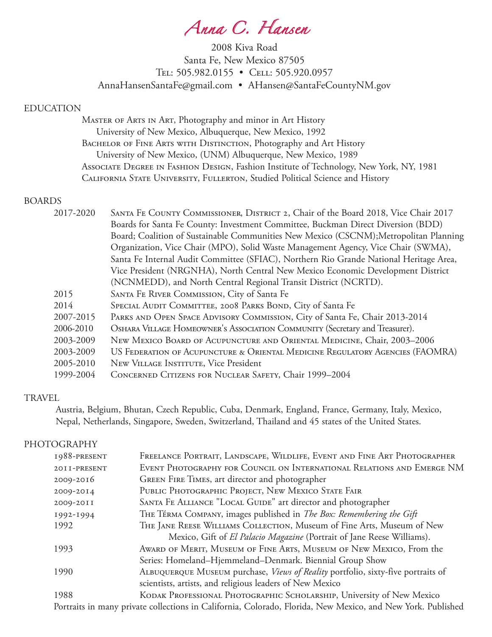*Anna C. Hansen*

2008 Kiva Road Santa Fe, New Mexico 87505 TEL: 505.982.0155 • CELL: 505.920.0957 AnnaHansenSantaFe@gmail.com • AHansen@SantaFeCountyNM.gov

### EDUCATION

 Master of Arts in Art, Photography and minor in Art History University of New Mexico, Albuquerque, New Mexico, 1992 BACHELOR OF FINE ARTS WITH DISTINCTION, Photography and Art History University of New Mexico, (UNM) Albuquerque, New Mexico, 1989 Associate Degree in Fashion Design, Fashion Institute of Technology, New York, NY, 1981 California State University, Fullerton, Studied Political Science and History

### BOARDS

| 2017-2020 | SANTA FE COUNTY COMMISSIONER, DISTRICT 2, Chair of the Board 2018, Vice Chair 2017     |
|-----------|----------------------------------------------------------------------------------------|
|           | Boards for Santa Fe County: Investment Committee, Buckman Direct Diversion (BDD)       |
|           | Board; Coalition of Sustainable Communities New Mexico (CSCNM); Metropolitan Planning  |
|           | Organization, Vice Chair (MPO), Solid Waste Management Agency, Vice Chair (SWMA),      |
|           | Santa Fe Internal Audit Committee (SFIAC), Northern Rio Grande National Heritage Area, |
|           | Vice President (NRGNHA), North Central New Mexico Economic Development District        |
|           | (NCNMEDD), and North Central Regional Transit District (NCRTD).                        |
| 2015      | SANTA FE RIVER COMMISSION, City of Santa Fe                                            |
| 2014      | SPECIAL AUDIT COMMITTEE, 2008 PARKS BOND, City of Santa Fe                             |
| 2007-2015 | PARKS AND OPEN SPACE ADVISORY COMMISSION, City of Santa Fe, Chair 2013-2014            |
| 2006-2010 | OSHARA VILLAGE HOMEOWNER'S ASSOCIATION COMMUNITY (Secretary and Treasurer).            |
| 2003-2009 | NEW MEXICO BOARD OF ACUPUNCTURE AND ORIENTAL MEDICINE, Chair, 2003-2006                |
| 2003-2009 | US FEDERATION OF ACUPUNCTURE & ORIENTAL MEDICINE REGULATORY AGENCIES (FAOMRA)          |
| 2005-2010 | NEW VILLAGE INSTITUTE, Vice President                                                  |
| 1999-2004 | CONCERNED CITIZENS FOR NUCLEAR SAFETY, Chair 1999-2004                                 |
|           |                                                                                        |

### **TRAVEL**

 Austria, Belgium, Bhutan, Czech Republic, Cuba, Denmark, England, France, Germany, Italy, Mexico, Nepal, Netherlands, Singapore, Sweden, Switzerland, Thailand and 45 states of the United States.

## **PHOTOGRAPHY**

| 1988-PRESENT | FREELANCE PORTRAIT, LANDSCAPE, WILDLIFE, EVENT AND FINE ART PHOTOGRAPHER                                    |
|--------------|-------------------------------------------------------------------------------------------------------------|
| 2011-PRESENT | EVENT PHOTOGRAPHY FOR COUNCIL ON INTERNATIONAL RELATIONS AND EMERGE NM                                      |
| 2009-2016    | GREEN FIRE TIMES, art director and photographer                                                             |
| 2009-2014    | PUBLIC PHOTOGRAPHIC PROJECT, NEW MEXICO STATE FAIR                                                          |
| 2009-20II    | SANTA FE ALLIANCE "LOCAL GUIDE" art director and photographer                                               |
| 1992-1994    | THE TÉRMA COMPANY, images published in The Box: Remembering the Gift                                        |
| 1992         | THE JANE REESE WILLIAMS COLLECTION, Museum of Fine Arts, Museum of New                                      |
|              | Mexico, Gift of El Palacio Magazine (Portrait of Jane Reese Williams).                                      |
| 1993         | AWARD OF MERIT, MUSEUM OF FINE ARTS, MUSEUM OF NEW MEXICO, From the                                         |
|              | Series: Homeland–Hjemmeland–Denmark. Biennial Group Show                                                    |
| 1990         | ALBUQUERQUE MUSEUM purchase, Views of Reality portfolio, sixty-five portraits of                            |
|              | scientists, artists, and religious leaders of New Mexico                                                    |
| 1988         | KODAK PROFESSIONAL PHOTOGRAPHIC SCHOLARSHIP, University of New Mexico                                       |
|              | Portraits in many private collections in California, Colorado, Florida, New Mexico, and New York. Published |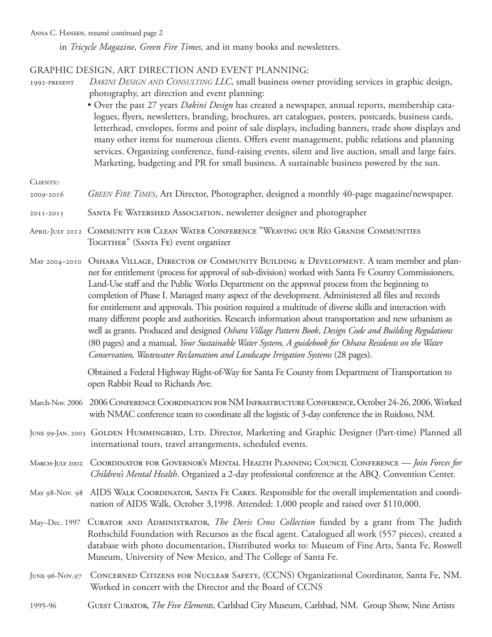in *Tricycle Magazine, Green Fire Times,* and in many books and newsletters.

### Graphic Design, Art Direction and Event Planning:

- 1992-present *Dakini Design and Consulting LLC*, small business owner providing services in graphic design, photography, art direction and event planning:
	- Over the past 27 years *Dakini Design* has created a newspaper, annual reports, membership catalogues, flyers, newsletters, branding, brochures, art catalogues, posters, postcards, business cards, letterhead, envelopes, forms and point of sale displays, including banners, trade show displays and many other items for numerous clients. Offers event management, public relations and planning services. Organizing conference, fund-raising events, silent and live auction, small and large fairs. Marketing, budgeting and PR for small business. A sustainable business powered by the sun.
- CLIENTS::
- 2009-2016 *Green Fire Times*, Art Director, Photographer, designed a monthly 40-page magazine/newspaper.
- 2011-2015 Santa Fe Watershed Association, newsletter designer and photographer
- April-July 2012 Community for Clean Water Conference "Weaving our Río Grande Communities TOGETHER" (SANTA FE) event organizer
- MAY 2004-2010 OSHARA VILLAGE, DIRECTOR OF COMMUNITY BUILDING & DEVELOPMENT. A team member and planner for entitlement (process for approval of sub-division) worked with Santa Fe County Commissioners, Land-Use staff and the Public Works Department on the approval process from the beginning to completion of Phase I. Managed many aspect of the development. Administered all files and records for entitlement and approvals. This position required a multitude of diverse skills and interaction with many different people and authorities. Research information about transportation and new urbanism as well as grants. Produced and designed *Oshara Village Pattern Book*, *Design Code and Building Regulations* (80 pages) and a manual, *Your Sustainable Water System, A guidebook for Oshara Residents on the Water Conservation, Wastewater Reclamation and Landscape Irrigation Systems* (28 pages).

Obtained a Federal Highway Right-of-Way for Santa Fe County from Department of Transportation to open Rabbit Road to Richards Ave.

- March-Nov. 2006 2006 CONFERENCE COORDINATION FOR NM INFRASTRUCTURE CONFERENCE, October 24-26, 2006, Worked with NMAC conference team to coordinate all the logistic of 3-day conference the in Ruidoso, NM.
- JUNE 99-JAN. 2003 GOLDEN HUMMINGBIRD, LTD. Director, Marketing and Graphic Designer (Part-time) Planned all international tours, travel arrangements, scheduled events.
- March-July 2002 Coordinator for Governor's Mental Health Planning Council Conference *Join Forces for Children's Mental Health*. Organized a 2-day professional conference at the ABQ. Convention Center.
- May 98-Nov. 98 AIDS Walk Coordinator, Santa Fe Cares. Responsible for the overall implementation and coordination of AIDS Walk, October 3,1998. Attended: 1,000 people and raised over \$110,000.
- May–Dec. 1997 Curator and Administrator, *The Doris Cross Collection* funded by a grant from The Judith Rothschild Foundation with Recursos as the fiscal agent. Catalogued all work (557 pieces), created a database with photo documentation, Distributed works to: Museum of Fine Arts, Santa Fe, Roswell Museum, University of New Mexico, and The College of Santa Fe.
- June 96-Nov.97 Concerned Citizens for Nuclear Safety, (CCNS) Organizational Coordinator, Santa Fe, NM. Worked in concert with the Director and the Board of CCNS
- 1995-96 Guest Curator, *The Five Elements*, Carlsbad City Museum, Carlsbad, NM. Group Show, Nine Artists